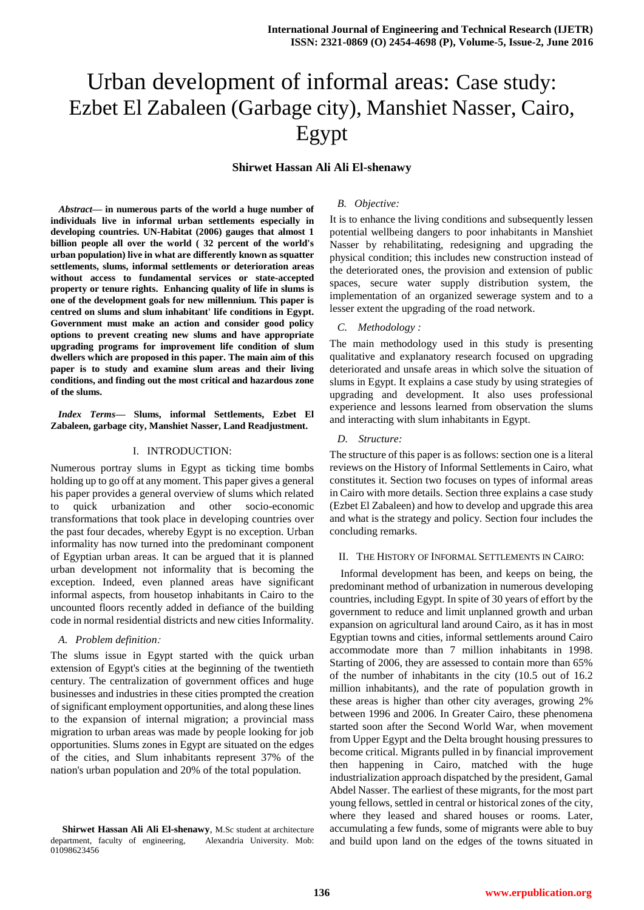# Urban development of informal areas: Case study: Ezbet El Zabaleen (Garbage city), Manshiet Nasser, Cairo, Egypt

## **Shirwet Hassan Ali Ali El-shenawy**

*<sup>1</sup>Abstract***— in numerous parts of the world a huge number of individuals live in informal urban settlements especially in developing countries. UN-Habitat (2006) gauges that almost 1 billion people all over the world ( 32 percent of the world's urban population) live in what are differently known as squatter settlements, slums, informal settlements or deterioration areas without access to fundamental services or state-accepted property or tenure rights. Enhancing quality of life in slums is one of the development goals for new millennium. This paper is centred on slums and slum inhabitant' life conditions in Egypt. Government must make an action and consider good policy options to prevent creating new slums and have appropriate upgrading programs for improvement life condition of slum dwellers which are proposed in this paper. The main aim of this paper is to study and examine slum areas and their living conditions, and finding out the most critical and hazardous zone of the slums.**

*Index Terms***— Slums, informal Settlements, Ezbet El Zabaleen, garbage city, Manshiet Nasser, Land Readjustment.** 

#### I. INTRODUCTION:

Numerous portray slums in Egypt as ticking time bombs holding up to go off at any moment. This paper gives a general his paper provides a general overview of slums which related to quick urbanization and other socio-economic transformations that took place in developing countries over the past four decades, whereby Egypt is no exception. Urban informality has now turned into the predominant component of Egyptian urban areas. It can be argued that it is planned urban development not informality that is becoming the exception. Indeed, even planned areas have significant informal aspects, from housetop inhabitants in Cairo to the uncounted floors recently added in defiance of the building code in normal residential districts and new cities Informality.

#### *A. Problem definition*:

The slums issue in Egypt started with the quick urban extension of Egypt's cities at the beginning of the twentieth century. The centralization of government offices and huge businesses and industries in these cities prompted the creation of significant employment opportunities, and along these lines to the expansion of internal migration; a provincial mass migration to urban areas was made by people looking for job opportunities. Slums zones in Egypt are situated on the edges of the cities, and Slum inhabitants represent 37% of the nation's urban population and 20% of the total population.

## *B. Objective:*

It is to enhance the living conditions and subsequently lessen potential wellbeing dangers to poor inhabitants in Manshiet Nasser by rehabilitating, redesigning and upgrading the physical condition; this includes new construction instead of the deteriorated ones, the provision and extension of public spaces, secure water supply distribution system, the implementation of an organized sewerage system and to a lesser extent the upgrading of the road network.

## *C. Methodology :*

The main methodology used in this study is presenting qualitative and explanatory research focused on upgrading deteriorated and unsafe areas in which solve the situation of slums in Egypt. It explains a case study by using strategies of upgrading and development. It also uses professional experience and lessons learned from observation the slums and interacting with slum inhabitants in Egypt.

#### *D. Structure:*

The structure of this paper is as follows: section one is a literal reviews on the History of Informal Settlements in Cairo, what constitutes it. Section two focuses on types of informal areas in Cairo with more details. Section three explains a case study (Ezbet El Zabaleen) and how to develop and upgrade this area and what is the strategy and policy. Section four includes the concluding remarks.

#### II. THE HISTORY OF INFORMAL SETTLEMENTS IN CAIRO:

Informal development has been, and keeps on being, the predominant method of urbanization in numerous developing countries, including Egypt. In spite of 30 years of effort by the government to reduce and limit unplanned growth and urban expansion on agricultural land around Cairo, as it has in most Egyptian towns and cities, informal settlements around Cairo accommodate more than 7 million inhabitants in 1998. Starting of 2006, they are assessed to contain more than 65% of the number of inhabitants in the city (10.5 out of 16.2 million inhabitants), and the rate of population growth in these areas is higher than other city averages, growing 2% between 1996 and 2006. In Greater Cairo, these phenomena started soon after the Second World War, when movement from Upper Egypt and the Delta brought housing pressures to become critical. Migrants pulled in by financial improvement then happening in Cairo, matched with the huge industrialization approach dispatched by the president, Gamal Abdel Nasser. The earliest of these migrants, for the most part young fellows, settled in central or historical zones of the city, where they leased and shared houses or rooms. Later, accumulating a few funds, some of migrants were able to buy and build upon land on the edges of the towns situated in

**Shirwet Hassan Ali Ali El-shenawy**, M.Sc student at architecture department, faculty of engineering, Alexandria University. Mob: 01098623456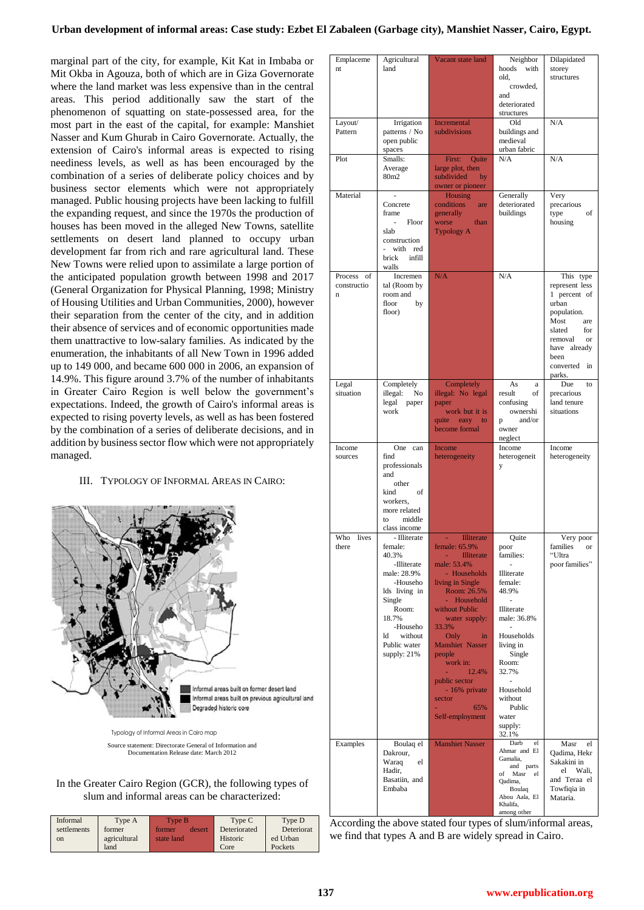## **Urban development of informal areas: Case study: Ezbet El Zabaleen (Garbage city), Manshiet Nasser, Cairo, Egypt.**

marginal part of the city, for example, Kit Kat in Imbaba or Mit Okba in Agouza, both of which are in Giza Governorate where the land market was less expensive than in the central areas. This period additionally saw the start of the phenomenon of squatting on state-possessed area, for the most part in the east of the capital, for example: Manshiet Nasser and Kum Ghurab in Cairo Governorate. Actually, the extension of Cairo's informal areas is expected to rising neediness levels, as well as has been encouraged by the combination of a series of deliberate policy choices and by business sector elements which were not appropriately managed. Public housing projects have been lacking to fulfill the expanding request, and since the 1970s the production of houses has been moved in the alleged New Towns, satellite settlements on desert land planned to occupy urban development far from rich and rare agricultural land. These New Towns were relied upon to assimilate a large portion of the anticipated population growth between 1998 and 2017 (General Organization for Physical Planning, 1998; Ministry of Housing Utilities and Urban Communities, 2000), however their separation from the center of the city, and in addition their absence of services and of economic opportunities made them unattractive to low-salary families. As indicated by the enumeration, the inhabitants of all New Town in 1996 added up to 149 000, and became 600 000 in 2006, an expansion of 14.9%. This figure around 3.7% of the number of inhabitants in Greater Cairo Region is well below the government's expectations. Indeed, the growth of Cairo's informal areas is expected to rising poverty levels, as well as has been fostered by the combination of a series of deliberate decisions, and in addition by business sector flow which were not appropriately managed.

## III. TYPOLOGY OF INFORMAL AREAS IN CAIRO:



Source statement: Directorate General of Information and Documentation Release date: March 2012

## In the Greater Cairo Region (GCR), the following types of slum and informal areas can be characterized:

| Informal    | Type A       | Type B           | Type C       | Type D     |
|-------------|--------------|------------------|--------------|------------|
| settlements | former       | former<br>desert | Deteriorated | Deteriorat |
| on          | agricultural | state land       | Historic     | ed Urban   |
|             | land         |                  | Core         | Pockets    |

| Emplaceme<br>nt                   | Agricultural<br>land                                                                                                                                                                             | Vacant state land                                                                                                                                                                                                                                                                                                                                           | Neighbor<br>with<br>hoods<br>old,<br>crowded,<br>and<br>deteriorated<br>structures                                                                                                                                            | Dilapidated<br>storey<br>structures                                                                                                                                       |
|-----------------------------------|--------------------------------------------------------------------------------------------------------------------------------------------------------------------------------------------------|-------------------------------------------------------------------------------------------------------------------------------------------------------------------------------------------------------------------------------------------------------------------------------------------------------------------------------------------------------------|-------------------------------------------------------------------------------------------------------------------------------------------------------------------------------------------------------------------------------|---------------------------------------------------------------------------------------------------------------------------------------------------------------------------|
| Layout/<br>Pattern                | Irrigation<br>patterns / No<br>open public<br>spaces                                                                                                                                             | Incremental<br>subdivisions                                                                                                                                                                                                                                                                                                                                 | Old<br>buildings and<br>medieval<br>urban fabric                                                                                                                                                                              | N/A                                                                                                                                                                       |
| Plot                              | Smalls:<br>Average<br>80m2                                                                                                                                                                       | First: Quite<br>large plot, then<br>subdivided<br>by<br>owner or pioneer                                                                                                                                                                                                                                                                                    | N/A                                                                                                                                                                                                                           | N/A                                                                                                                                                                       |
| Material                          | Concrete<br>frame<br>÷.<br>Floor<br>slab<br>construction<br>with red<br>÷.<br>infill<br>brick<br>walls                                                                                           | <b>Housing</b><br>conditions<br>are<br>generally<br>worse<br>than<br><b>Typology A</b>                                                                                                                                                                                                                                                                      | Generally<br>deteriorated<br>buildings                                                                                                                                                                                        | Very<br>precarious<br>of<br>type<br>housing                                                                                                                               |
| Process<br>of<br>constructio<br>n | Incremen<br>tal (Room by<br>room and<br>floor<br>by<br>floor)                                                                                                                                    | N/A                                                                                                                                                                                                                                                                                                                                                         | N/A                                                                                                                                                                                                                           | This type<br>represent less<br>1 percent of<br>urban<br>population.<br>Most<br>are<br>slated<br>for<br>removal<br>or<br>have already<br>been<br>converted<br>in<br>parks. |
| Legal<br>situation                | Completely<br>illegal:<br>No<br>legal<br>paper<br>work                                                                                                                                           | Completely<br>illegal: No legal<br>paper<br>work but it is<br>quite easy to<br>become formal                                                                                                                                                                                                                                                                | As<br>a<br>result<br>οf<br>confusing<br>ownershi<br>and/or<br>p<br>owner<br>neglect                                                                                                                                           | Due<br>to<br>precarious<br>land tenure<br>situations                                                                                                                      |
| Income<br>sources                 | One can<br>find<br>professionals<br>and<br>other<br>of<br>kind<br>workers,<br>more related<br>middle<br>to<br>class income                                                                       | Income<br>heterogeneity                                                                                                                                                                                                                                                                                                                                     | Income<br>heterogeneit<br>y                                                                                                                                                                                                   | Income<br>heterogeneity                                                                                                                                                   |
| Who<br>lives<br>there<br>Examples | - Illiterate<br>female:<br>40.3%<br>-Illiterate<br>male: 28.9%<br>-Househo<br>lds living in<br>Single<br>Room:<br>18.7%<br>-Househo<br>without<br>ld<br>Public water<br>supply: 21%<br>Boulaq el | <b>Illiterate</b><br>female: 65.9%<br><b>Illiterate</b><br>male: 53.4%<br>- Households<br>living in Single<br>Room: 26.5%<br>- Household<br>without Public<br>water supply:<br>33.3%<br>Only<br>in<br><b>Manshiet Nasser</b><br>people<br>work in:<br>12.4%<br>public sector<br>- 16% private<br>sector<br>65%<br>Self-employment<br><b>Manshiet Nasser</b> | Quite<br>poor<br>families:<br>Illiterate<br>female:<br>48.9%<br>Illiterate<br>male: 36.8%<br>Households<br>living in<br>Single<br>Room:<br>32.7%<br>Household<br>without<br>Public<br>water<br>supply:<br>32.1%<br>Darb<br>el | Very poor<br>families<br>or<br>"Ultra<br>poor families"<br>Masr<br>el                                                                                                     |
|                                   | Dakrour,<br>Waraq<br>el<br>Hadir,<br>Basatiin, and<br>Embaba                                                                                                                                     |                                                                                                                                                                                                                                                                                                                                                             | Ahmar and El<br>Gamalia,<br>and parts<br>of Masr<br>el<br>Qadima,<br>Boulaq<br>Abou Aala, El<br>Khalifa,<br>among other                                                                                                       | Qadima, Hekr<br>Sakakini in<br>el<br>Wali.<br>and Teraa el<br>Towfiqia in<br>Mataria.                                                                                     |

According the above stated four types of slum/informal areas, we find that types A and B are widely spread in Cairo.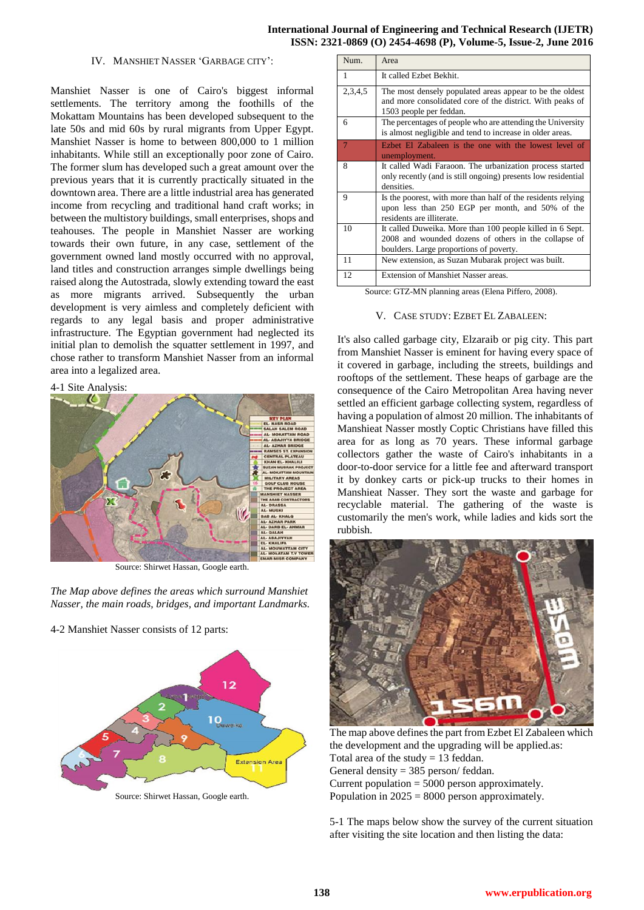## **International Journal of Engineering and Technical Research (IJETR) ISSN: 2321-0869 (O) 2454-4698 (P), Volume-5, Issue-2, June 2016**

### IV. MANSHIET NASSER 'GARBAGE CITY':

Manshiet Nasser is one of Cairo's biggest informal settlements. The territory among the foothills of the Mokattam Mountains has been developed subsequent to the late 50s and mid 60s by rural migrants from Upper Egypt. Manshiet Nasser is home to between 800,000 to 1 million inhabitants. While still an exceptionally poor zone of Cairo. The former slum has developed such a great amount over the previous years that it is currently practically situated in the downtown area. There are a little industrial area has generated income from recycling and traditional hand craft works; in between the multistory buildings, small enterprises, shops and teahouses. The people in Manshiet Nasser are working towards their own future, in any case, settlement of the government owned land mostly occurred with no approval, land titles and construction arranges simple dwellings being raised along the Autostrada, slowly extending toward the east as more migrants arrived. Subsequently the urban development is very aimless and completely deficient with regards to any legal basis and proper administrative infrastructure. The Egyptian government had neglected its initial plan to demolish the squatter settlement in 1997, and chose rather to transform Manshiet Nasser from an informal area into a legalized area.

## 4-1 Site Analysis:



Source: Shirwet Hassan, Google earth.

*The Map above defines the areas which surround Manshiet Nasser, the main roads, bridges, and important Landmarks.*

4-2 Manshiet Nasser consists of 12 parts:



Source: Shirwet Hassan, Google earth.

| Num.         | Area                                                                                                                                                         |
|--------------|--------------------------------------------------------------------------------------------------------------------------------------------------------------|
| $\mathbf{1}$ | It called Ezbet Bekhit.                                                                                                                                      |
| 2,3,4,5      | The most densely populated areas appear to be the oldest<br>and more consolidated core of the district. With peaks of<br>1503 people per feddan.             |
| 6            | The percentages of people who are attending the University<br>is almost negligible and tend to increase in older areas.                                      |
| $\tau$       | Ezbet El Zabaleen is the one with the lowest level of<br>unemployment.                                                                                       |
| 8            | It called Wadi Faraoon. The urbanization process started<br>only recently (and is still ongoing) presents low residential<br>densities.                      |
| 9            | Is the poorest, with more than half of the residents relying<br>upon less than 250 EGP per month, and 50% of the<br>residents are illiterate.                |
| 10           | It called Duweika. More than 100 people killed in 6 Sept.<br>2008 and wounded dozens of others in the collapse of<br>boulders. Large proportions of poverty. |
| 11           | New extension, as Suzan Mubarak project was built.                                                                                                           |
| 12           | <b>Extension of Manshiet Nasser areas.</b>                                                                                                                   |

Source: GTZ-MN planning areas (Elena Piffero, 2008).

## V. CASE STUDY: EZBET EL ZABALEEN:

It's also called garbage city, Elzaraib or pig city. This part from Manshiet Nasser is eminent for having every space of it covered in garbage, including the streets, buildings and rooftops of the settlement. These heaps of garbage are the consequence of the Cairo Metropolitan Area having never settled an efficient garbage collecting system, regardless of having a population of almost 20 million. The inhabitants of Manshieat Nasser mostly Coptic Christians have filled this area for as long as 70 years. These informal garbage collectors gather the waste of Cairo's inhabitants in a door-to-door service for a little fee and afterward transport it by donkey carts or pick-up trucks to their homes in Manshieat Nasser. They sort the waste and garbage for recyclable material. The gathering of the waste is customarily the men's work, while ladies and kids sort the rubbish.



The map above defines the part from Ezbet El Zabaleen which the development and the upgrading will be applied.as: Total area of the study  $= 13$  feddan. General density = 385 person/ feddan. Current population = 5000 person approximately. Population in  $2025 = 8000$  person approximately.

5-1 The maps below show the survey of the current situation after visiting the site location and then listing the data: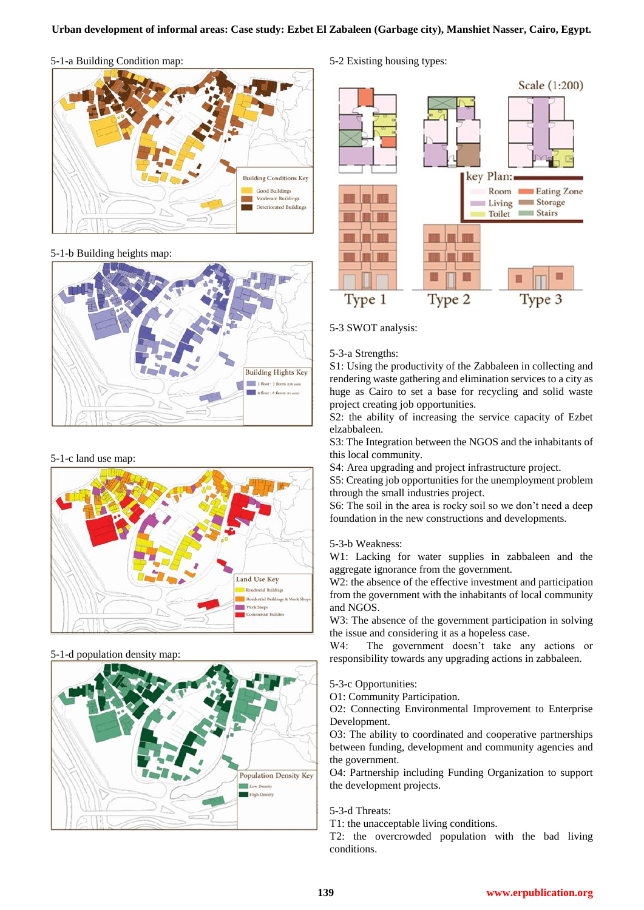# 5-1-a Building Condition map:



# 5-1-b Building heights map:



## 5-1-c land use map:



# 5-1-d population density map:



# 5-2 Existing housing types:



# 5-3 SWOT analysis:

## 5-3-a Strengths:

S1: Using the productivity of the Zabbaleen in collecting and rendering waste gathering and elimination services to a city as huge as Cairo to set a base for recycling and solid waste project creating job opportunities.

S2: the ability of increasing the service capacity of Ezbet elzabbaleen.

S3: The Integration between the NGOS and the inhabitants of this local community.

S4: Area upgrading and project infrastructure project.

S5: Creating job opportunities for the unemployment problem through the small industries project.

S6: The soil in the area is rocky soil so we don't need a deep foundation in the new constructions and developments.

## 5-3-b Weakness:

W1: Lacking for water supplies in zabbaleen and the aggregate ignorance from the government.

W<sub>2</sub>: the absence of the effective investment and participation from the government with the inhabitants of local community and NGOS.

W3: The absence of the government participation in solving the issue and considering it as a hopeless case.

W4: The government doesn't take any actions or responsibility towards any upgrading actions in zabbaleen.

5-3-c Opportunities:

O1: Community Participation.

O2: Connecting Environmental Improvement to Enterprise Development.

O3: The ability to coordinated and cooperative partnerships between funding, development and community agencies and the government.

O4: Partnership including Funding Organization to support the development projects.

5-3-d Threats:

T1: the unacceptable living conditions.

T2: the overcrowded population with the bad living conditions.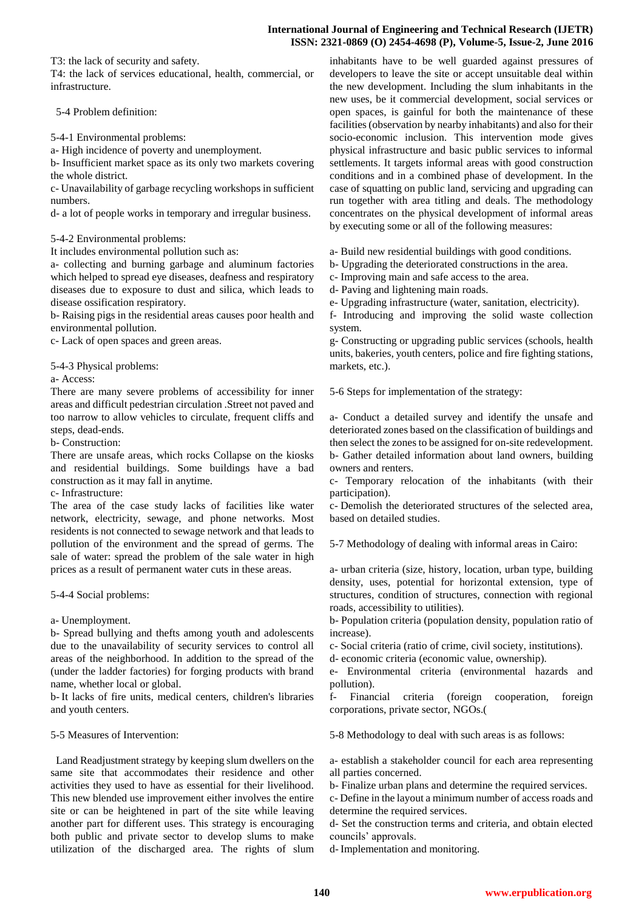T3: the lack of security and safety.

T4: the lack of services educational, health, commercial, or infrastructure.

5-4 Problem definition:

5-4-1 Environmental problems:

a- High incidence of poverty and unemployment.

b- Insufficient market space as its only two markets covering the whole district.

c- Unavailability of garbage recycling workshops in sufficient numbers.

d- a lot of people works in temporary and irregular business.

5-4-2 Environmental problems:

It includes environmental pollution such as:

a- collecting and burning garbage and aluminum factories which helped to spread eye diseases, deafness and respiratory diseases due to exposure to dust and silica, which leads to disease ossification respiratory.

b- Raising pigs in the residential areas causes poor health and environmental pollution.

c- Lack of open spaces and green areas.

5-4-3 Physical problems:

a- Access:

There are many severe problems of accessibility for inner areas and difficult pedestrian circulation .Street not paved and too narrow to allow vehicles to circulate, frequent cliffs and steps, dead-ends.

b- Construction:

There are unsafe areas, which rocks Collapse on the kiosks and residential buildings. Some buildings have a bad construction as it may fall in anytime.

c- Infrastructure:

The area of the case study lacks of facilities like water network, electricity, sewage, and phone networks. Most residents is not connected to sewage network and that leads to pollution of the environment and the spread of germs. The sale of water: spread the problem of the sale water in high prices as a result of permanent water cuts in these areas.

5-4-4 Social problems:

a- Unemployment.

b- Spread bullying and thefts among youth and adolescents due to the unavailability of security services to control all areas of the neighborhood. In addition to the spread of the (under the ladder factories) for forging products with brand name, whether local or global.

b- It lacks of fire units, medical centers, children's libraries and youth centers.

5-5 Measures of Intervention:

 Land Readjustment strategy by keeping slum dwellers on the same site that accommodates their residence and other activities they used to have as essential for their livelihood. This new blended use improvement either involves the entire site or can be heightened in part of the site while leaving another part for different uses. This strategy is encouraging both public and private sector to develop slums to make utilization of the discharged area. The rights of slum inhabitants have to be well guarded against pressures of developers to leave the site or accept unsuitable deal within the new development. Including the slum inhabitants in the new uses, be it commercial development, social services or open spaces, is gainful for both the maintenance of these facilities (observation by nearby inhabitants) and also for their socio-economic inclusion. This intervention mode gives physical infrastructure and basic public services to informal settlements. It targets informal areas with good construction conditions and in a combined phase of development. In the case of squatting on public land, servicing and upgrading can run together with area titling and deals. The methodology concentrates on the physical development of informal areas by executing some or all of the following measures:

a- Build new residential buildings with good conditions.

b- Upgrading the deteriorated constructions in the area.

c- Improving main and safe access to the area.

d- Paving and lightening main roads.

e- Upgrading infrastructure (water, sanitation, electricity).

f- Introducing and improving the solid waste collection system.

g- Constructing or upgrading public services (schools, health units, bakeries, youth centers, police and fire fighting stations, markets, etc.).

5-6 Steps for implementation of the strategy:

a- Conduct a detailed survey and identify the unsafe and deteriorated zones based on the classification of buildings and then select the zones to be assigned for on-site redevelopment. b- Gather detailed information about land owners, building owners and renters.

c- Temporary relocation of the inhabitants (with their participation).

c- Demolish the deteriorated structures of the selected area, based on detailed studies.

5-7 Methodology of dealing with informal areas in Cairo:

a- urban criteria (size, history, location, urban type, building density, uses, potential for horizontal extension, type of structures, condition of structures, connection with regional roads, accessibility to utilities).

b- Population criteria (population density, population ratio of increase).

c- Social criteria (ratio of crime, civil society, institutions).

d- economic criteria (economic value, ownership).

e- Environmental criteria (environmental hazards and pollution).

f- Financial criteria (foreign cooperation, foreign corporations, private sector, NGOs.(

5-8 Methodology to deal with such areas is as follows:

a- establish a stakeholder council for each area representing all parties concerned.

b- Finalize urban plans and determine the required services.

c- Define in the layout a minimum number of access roads and determine the required services.

d- Set the construction terms and criteria, and obtain elected councils" approvals.

d- Implementation and monitoring.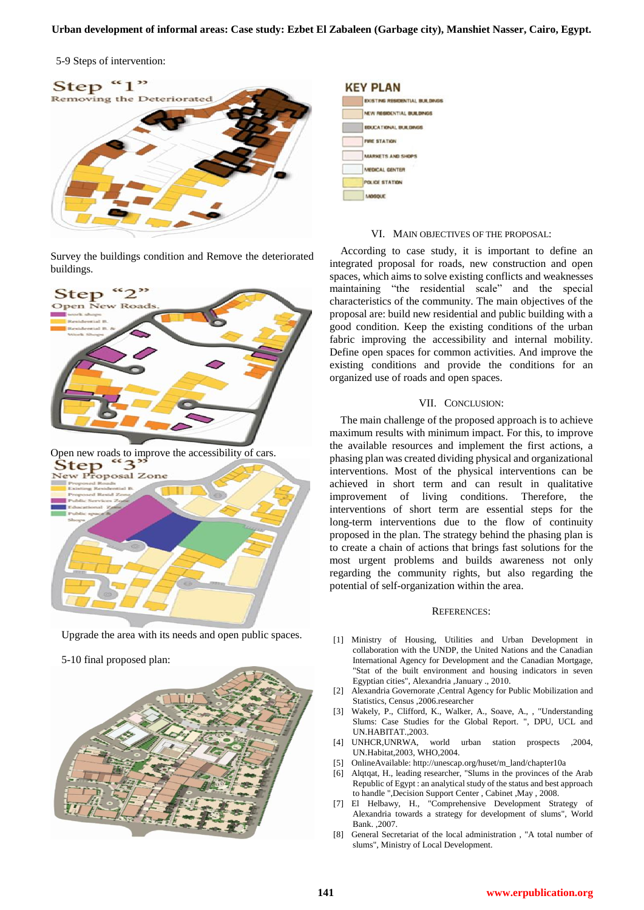5-9 Steps of intervention:



Survey the buildings condition and Remove the deteriorated buildings.



Upgrade the area with its needs and open public spaces.

5-10 final proposed plan:





## VI. MAIN OBJECTIVES OF THE PROPOSAL:

According to case study, it is important to define an integrated proposal for roads, new construction and open spaces, which aims to solve existing conflicts and weaknesses maintaining "the residential scale" and the special characteristics of the community. The main objectives of the proposal are: build new residential and public building with a good condition. Keep the existing conditions of the urban fabric improving the accessibility and internal mobility. Define open spaces for common activities. And improve the existing conditions and provide the conditions for an organized use of roads and open spaces.

#### VII. CONCLUSION:

The main challenge of the proposed approach is to achieve maximum results with minimum impact. For this, to improve the available resources and implement the first actions, a phasing plan was created dividing physical and organizational interventions. Most of the physical interventions can be achieved in short term and can result in qualitative improvement of living conditions. Therefore, the interventions of short term are essential steps for the long-term interventions due to the flow of continuity proposed in the plan. The strategy behind the phasing plan is to create a chain of actions that brings fast solutions for the most urgent problems and builds awareness not only regarding the community rights, but also regarding the potential of self-organization within the area.

#### REFERENCES:

- [1] Ministry of Housing, Utilities and Urban Development in collaboration with the UNDP, the United Nations and the Canadian International Agency for Development and the Canadian Mortgage, "Stat of the built environment and housing indicators in seven Egyptian cities", Alexandria ,January ., 2010.
- [2] Alexandria Governorate ,Central Agency for Public Mobilization and Statistics, Census ,2006.researcher
- [3] Wakely, P., Clifford, K., Walker, A., Soave, A., , "Understanding Slums: Case Studies for the Global Report. ", DPU, UCL and UN.HABITAT.,2003.
- [4] UNHCR,UNRWA, world urban station prospects ,2004, UN.Habitat,2003, WHO,2004.
- [5] OnlineAvailable: http://unescap.org/huset/m\_land/chapter10a
- [6] Alqtqat, H., leading researcher, "Slums in the provinces of the Arab Republic of Egypt : an analytical study of the status and best approach to handle ",Decision Support Center , Cabinet ,May , 2008.
- [7] El Helbawy, H., "Comprehensive Development Strategy of Alexandria towards a strategy for development of slums", World Bank. ,2007.
- [8] General Secretariat of the local administration , "A total number of slums", Ministry of Local Development.